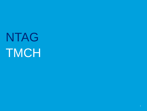NTAG TMCH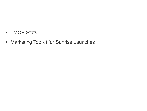- TMCH Stats
- Marketing Toolkit for Sunrise Launches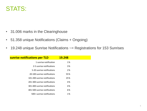## STATS:

- 31.006 marks in the Clearinghouse
- 51.358 unique Notifications (Claims + Ongoing)
- 19.248 unique Sunrise Notifications ~= Registrations for 153 Sunrises

| sunrise notifications per TLD | 19.248 |  |
|-------------------------------|--------|--|
| 1 sunrise notification        | 1%     |  |
| 2-5 sunrise notifications     | 3%     |  |
| 5-20 sunrise notifications    | 2%     |  |
| 20-100 sunrise notifications  | 55%    |  |
| 101-200 sunrise notifications | 25%    |  |
| 201-300 sunrise notifications | 4%     |  |
| 301-400 sunrise notifications | 4%     |  |
| 401-500 sunrise notifications | 6%     |  |
| 500+ sunrise notifications    | 1%     |  |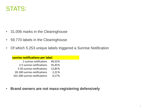## STATS:

- 31.006 marks in the Clearinghouse
- 59.770 labels in the Clearinghouse
- Of which 5.253 unique labels triggered a Sunrise Notification

#### **sunrise notifications per label**

| 1 sunrise notification        | 49,32% |
|-------------------------------|--------|
| 2-5 sunrise notifications     | 35,45% |
| 5-20 sunrise notifications    | 12,85% |
| 20-100 sunrise notifications  | 2,21%  |
| 101-200 sunrise notifications | 0,17%  |

• **Brand owners are not mass-registering defensively**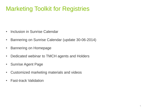# Marketing Toolkit for Registries

- Inclusion in Sunrise Calendar
- Bannering on Sunrise Calendar (update 30-06-2014)
- Bannering on Homepage
- Dedicated webinar to TMCH agents and Holders
- Sunrise Agent Page
- Customized marketing materials and videos
- Fast-track Validation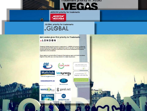#### **Trademark priority in . VEGAS**

EGAS

.MOSCOW priority for trademarks

MOSCON

株

.GLOBAL priority for trademarks .GL<sup>OBAL</sup>

#### dot London gives first priority to Trademarks **.LONDON**

Trademark Holders get first priority in registration in .LONDON; this period is called the Sunrise Period and is NOW open for registrations until 31 July 2014. To benefit from this exclusive period your trademark information must first be verified before the domain registration can be completed.

These registrars are both official Trademark Clearinghouse Agent and ICANN accredited Registrar, they offer you a one-stop-solution in a single step process.



**Trademark Clearinghouse Services** 













entorno.es





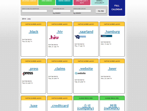

 $2014 - July$ 

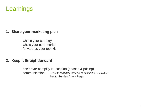## Learnings

## **1. Share your marketing plan**

- what's your strategy
- who's your core market
- forward us your tool-kit

### **2. Keep it Straightforward**

- don't over-complify launchplan (phases & pricing)
- communication: *TRADEMARKS* instead of *SUNRISE PERIOD* link to Sunrise Agent Page